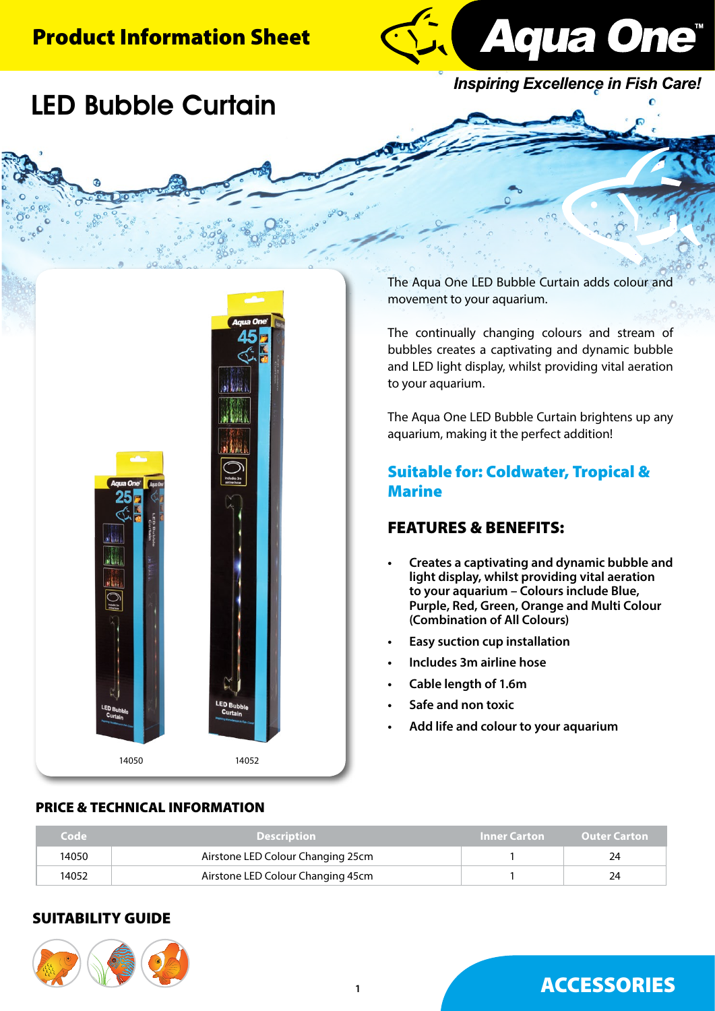## Product Information Sheet



**Inspiring Excellence in Fish Care!** 

# LED Bubble Curtain



The Aqua One LED Bubble Curtain adds colour and movement to your aquarium.

The continually changing colours and stream of bubbles creates a captivating and dynamic bubble and LED light display, whilst providing vital aeration to your aquarium.

The Aqua One LED Bubble Curtain brightens up any aquarium, making it the perfect addition!

### Suitable for: Coldwater, Tropical & Marine

### FEATURES & BENEFITS:

- **• Creates a captivating and dynamic bubble and light display, whilst providing vital aeration to your aquarium – Colours include Blue, Purple, Red, Green, Orange and Multi Colour (Combination of All Colours)**
- **Easy suction cup installation**
- **• Includes 3m airline hose**
- **• Cable length of 1.6m**
- **• Safe and non toxic**
- **• Add life and colour to your aquarium**

| Code  | <b>Description</b>                | Inner Carton | <b>Outer Carton</b> |
|-------|-----------------------------------|--------------|---------------------|
| 14050 | Airstone LED Colour Changing 25cm |              | 24                  |
| 14052 | Airstone LED Colour Changing 45cm |              | 24                  |

### SUITABILITY GUIDE



## ACCESSORIES